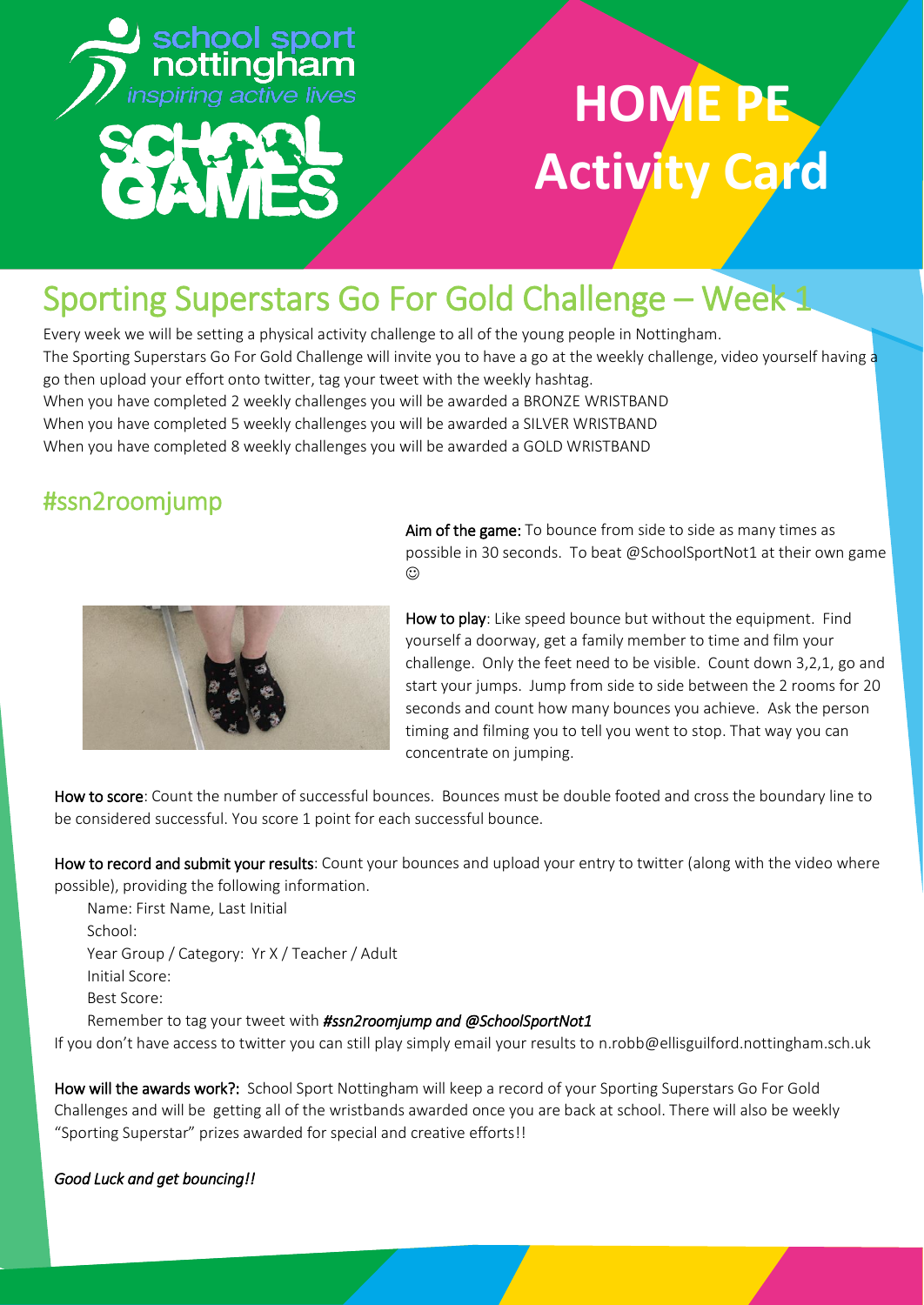

### Sporting Superstars Go For Gold Challenge – Week 1

Every week we will be setting a physical activity challenge to all of the young people in Nottingham. The Sporting Superstars Go For Gold Challenge will invite you to have a go at the weekly challenge, video yourself having a go then upload your effort onto twitter, tag your tweet with the weekly hashtag. When you have completed 2 weekly challenges you will be awarded a BRONZE WRISTBAND When you have completed 5 weekly challenges you will be awarded a SILVER WRISTBAND When you have completed 8 weekly challenges you will be awarded a GOLD WRISTBAND

### #ssn2roomjump



Aim of the game: To bounce from side to side as many times as possible in 30 seconds. To beat @SchoolSportNot1 at their own game  $\odot$ 

How to play: Like speed bounce but without the equipment. Find yourself a doorway, get a family member to time and film your challenge. Only the feet need to be visible. Count down 3,2,1, go and start your jumps. Jump from side to side between the 2 rooms for 20 seconds and count how many bounces you achieve. Ask the person timing and filming you to tell you went to stop. That way you can concentrate on jumping.

How to score: Count the number of successful bounces. Bounces must be double footed and cross the boundary line to be considered successful. You score 1 point for each successful bounce.

How to record and submit your results: Count your bounces and upload your entry to twitter (along with the video where possible), providing the following information.

Name: First Name, Last Initial School: Year Group / Category: Yr X / Teacher / Adult Initial Score: Best Score:

Remember to tag your tweet with *#ssn2roomjump and @SchoolSportNot1*

If you don't have access to twitter you can still play simply email your results to n.robb@ellisguilford.nottingham.sch.uk

How will the awards work?: School Sport Nottingham will keep a record of your Sporting Superstars Go For Gold Challenges and will be getting all of the wristbands awarded once you are back at school. There will also be weekly "Sporting Superstar" prizes awarded for special and creative efforts!!

#### *Good Luck and get bouncing!!*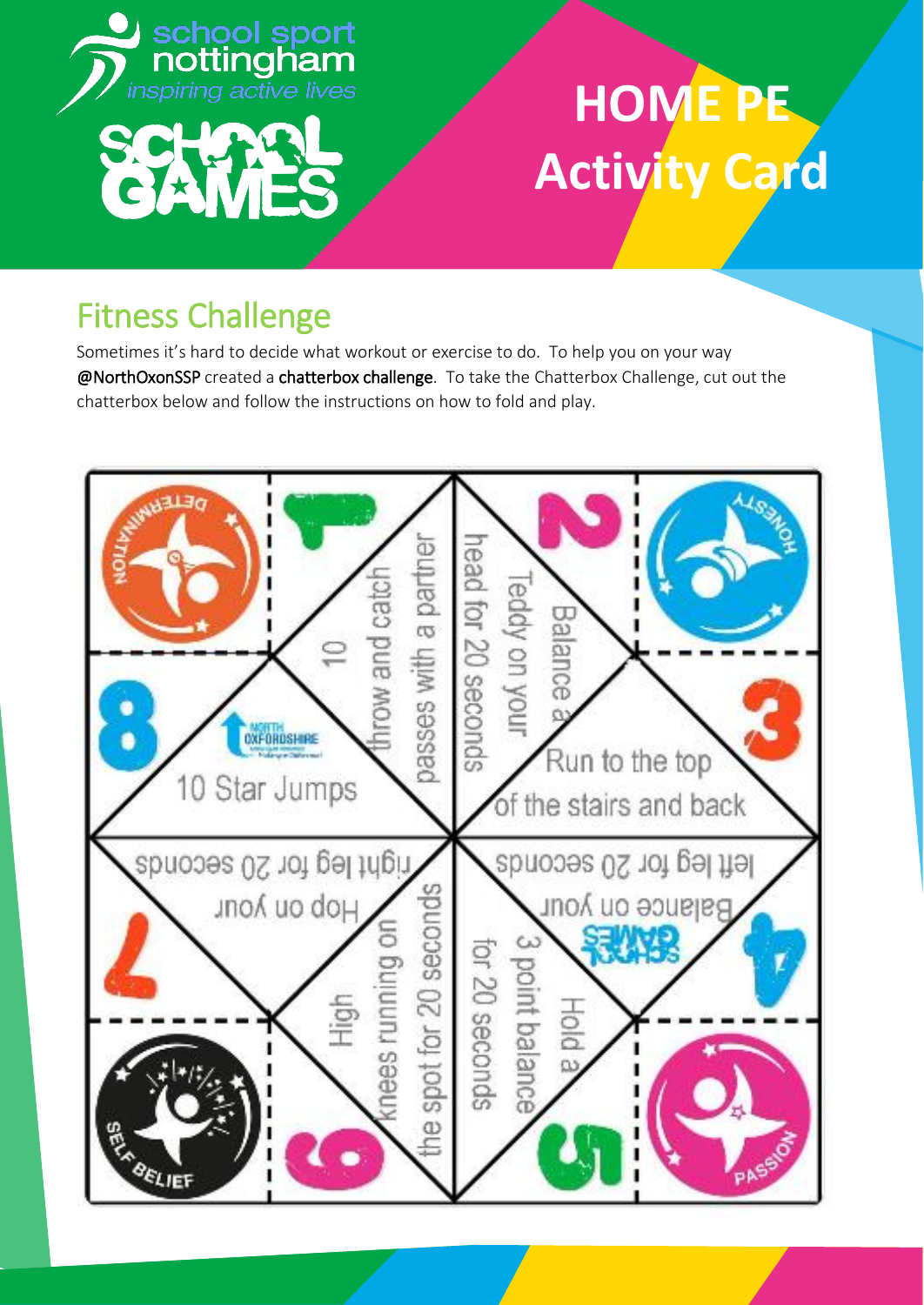

### Fitness Challenge

Sometimes it's hard to decide what workout or exercise to do. To help you on your way @NorthOxonSSP created a chatterbox challenge. To take the Chatterbox Challenge, cut out the chatterbox below and follow the instructions on how to fold and play.

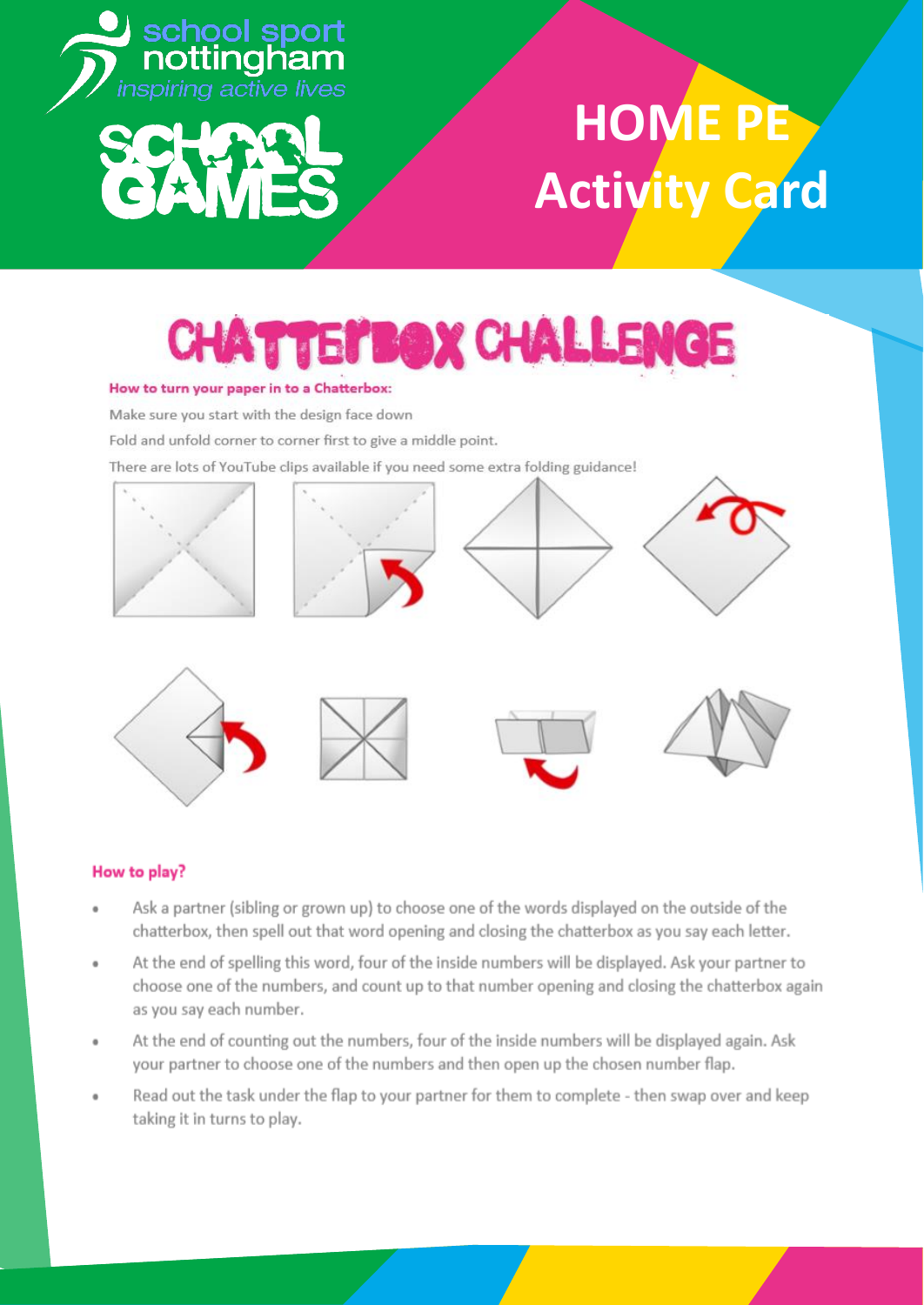

## **TEI'BOX CHALLENGE**

#### How to turn your paper in to a Chatterbox:

Make sure you start with the design face down

Fold and unfold corner to corner first to give a middle point.

There are lots of YouTube clips available if you need some extra folding guidance!





#### How to play?

- Ask a partner (sibling or grown up) to choose one of the words displayed on the outside of the chatterbox, then spell out that word opening and closing the chatterbox as you say each letter.
- At the end of spelling this word, four of the inside numbers will be displayed. Ask your partner to choose one of the numbers, and count up to that number opening and closing the chatterbox again as you say each number.
- At the end of counting out the numbers, four of the inside numbers will be displayed again. Ask your partner to choose one of the numbers and then open up the chosen number flap.
- Read out the task under the flap to your partner for them to complete then swap over and keep taking it in turns to play.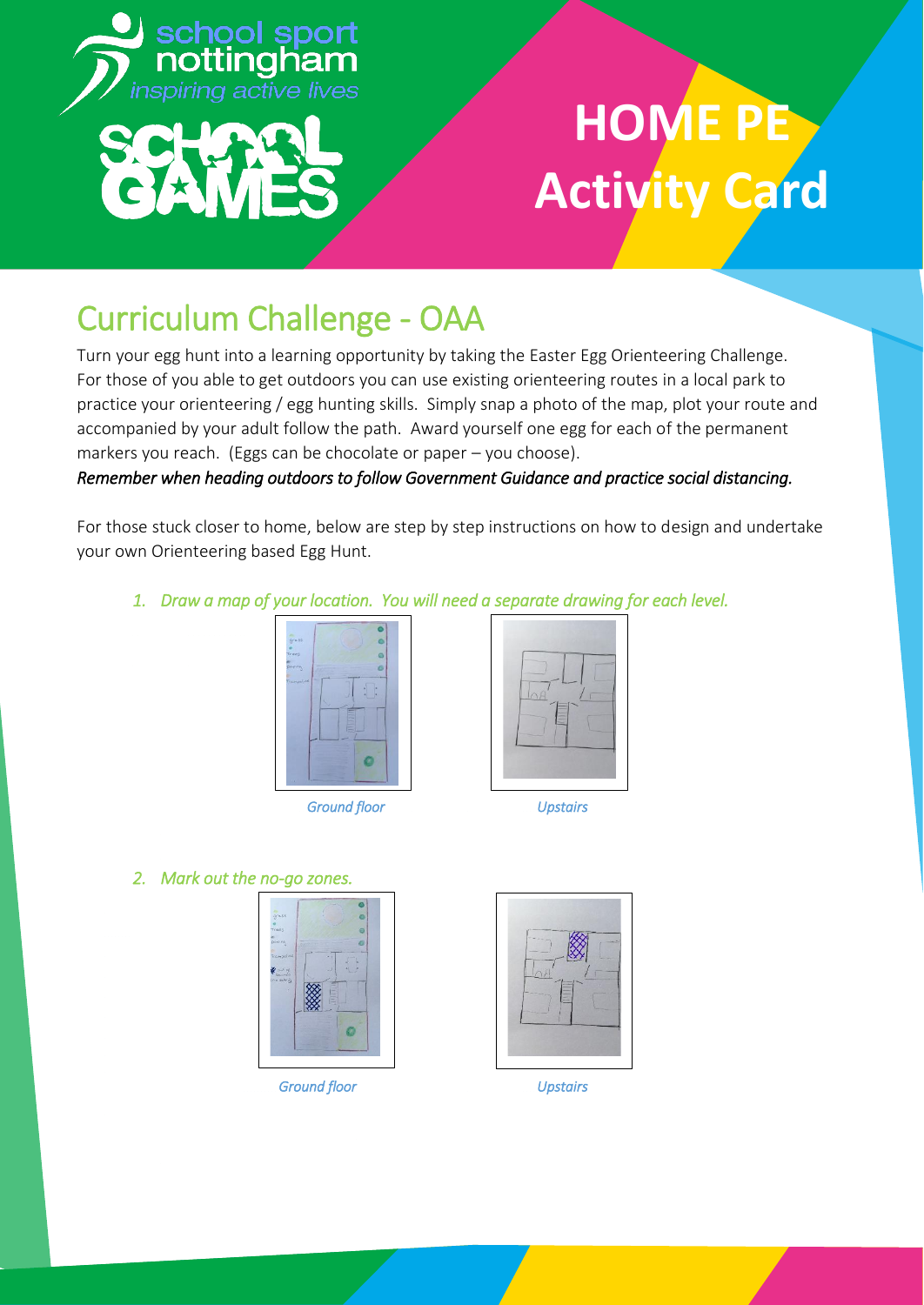

### Curriculum Challenge - OAA

Turn your egg hunt into a learning opportunity by taking the Easter Egg Orienteering Challenge. For those of you able to get outdoors you can use existing orienteering routes in a local park to practice your orienteering / egg hunting skills. Simply snap a photo of the map, plot your route and accompanied by your adult follow the path. Award yourself one egg for each of the permanent markers you reach. (Eggs can be chocolate or paper – you choose).

#### *Remember when heading outdoors to follow Government Guidance and practice social distancing.*

For those stuck closer to home, below are step by step instructions on how to design and undertake your own Orienteering based Egg Hunt.

*1. Draw a map of your location. You will need a separate drawing for each level.* 



 *Ground floor Upstairs* 



*2. Mark out the no-go zones.* 



 *Ground floor Upstairs* 

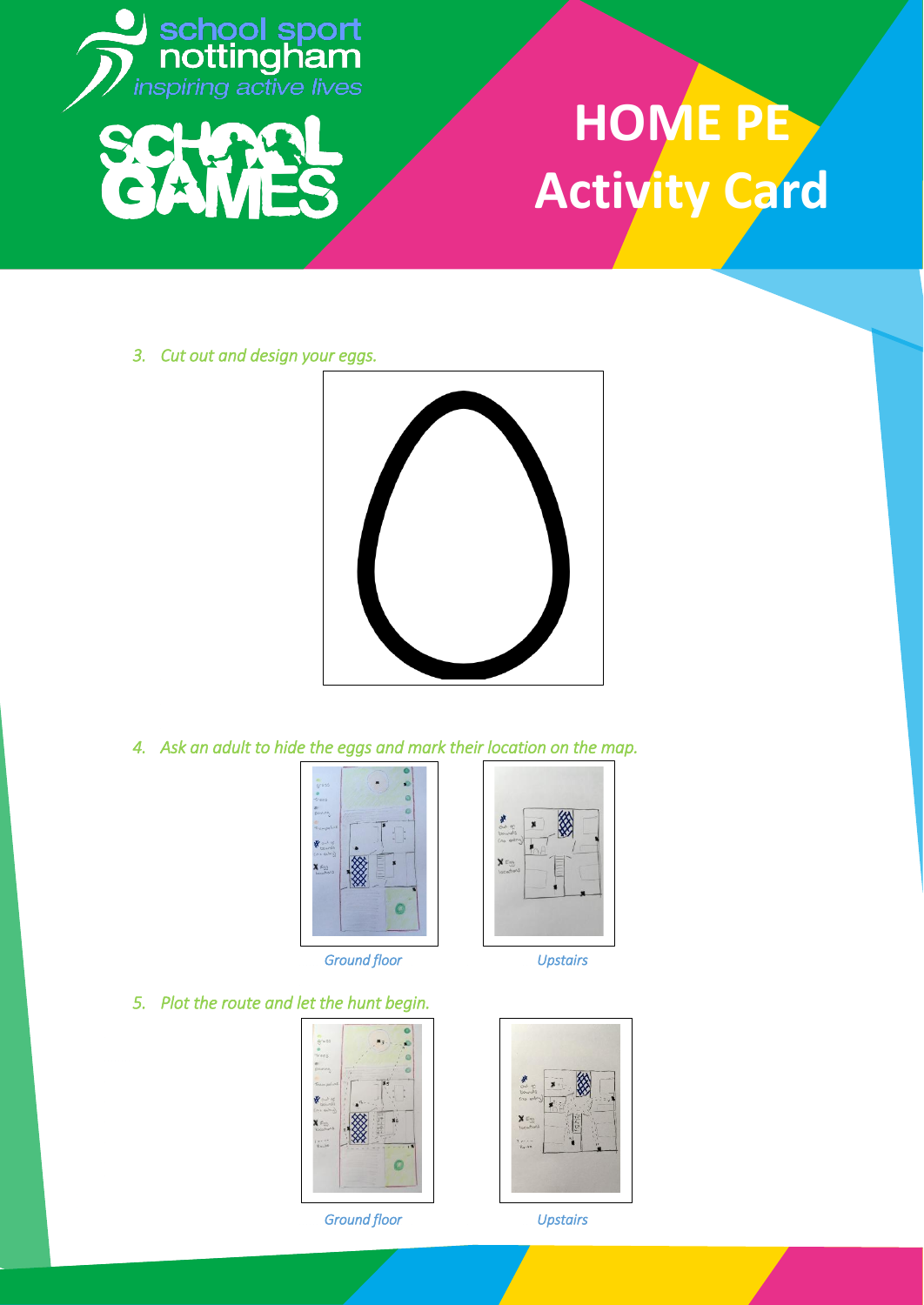

*3. Cut out and design your eggs.* 



*4. Ask an adult to hide the eggs and mark their location on the map.* 



 *Ground floor Upstairs* 



*5. Plot the route and let the hunt begin.* 



 *Ground floor Upstairs*